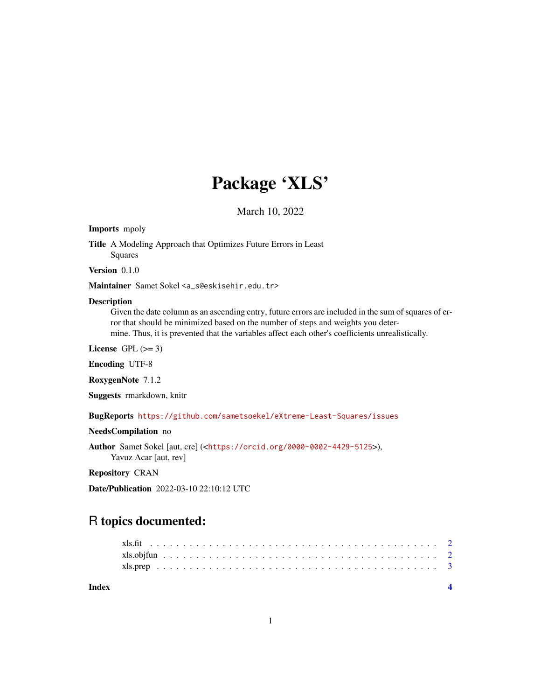## Package 'XLS'

March 10, 2022

#### Imports mpoly

Title A Modeling Approach that Optimizes Future Errors in Least Squares

Version 0.1.0

Maintainer Samet Sokel <a\_s@eskisehir.edu.tr>

#### Description

Given the date column as an ascending entry, future errors are included in the sum of squares of error that should be minimized based on the number of steps and weights you determine. Thus, it is prevented that the variables affect each other's coefficients unrealistically.

License GPL  $(>= 3)$ 

Encoding UTF-8

RoxygenNote 7.1.2

Suggests rmarkdown, knitr

BugReports <https://github.com/sametsoekel/eXtreme-Least-Squares/issues>

#### NeedsCompilation no

Author Samet Sokel [aut, cre] (<<https://orcid.org/0000-0002-4429-5125>>), Yavuz Acar [aut, rev]

#### Repository CRAN

Date/Publication 2022-03-10 22:10:12 UTC

### R topics documented:

| Index |  |
|-------|--|
|       |  |
|       |  |
|       |  |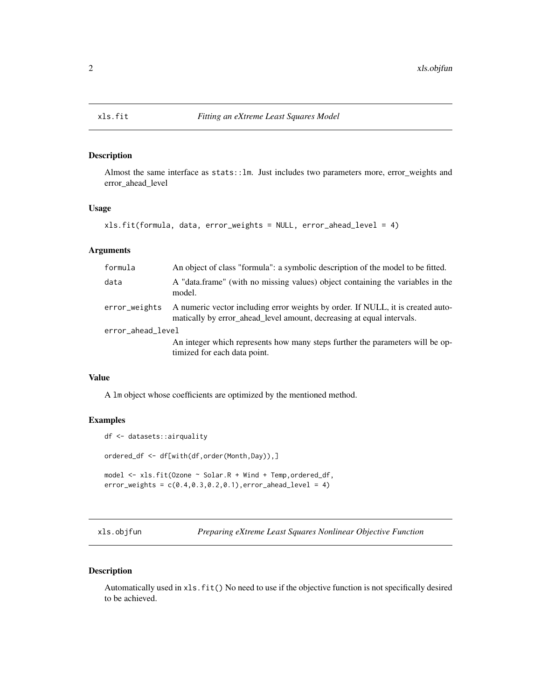<span id="page-1-0"></span>

#### Description

Almost the same interface as stats::lm. Just includes two parameters more, error\_weights and error\_ahead\_level

#### Usage

```
xls.fit(formula, data, error_weights = NULL, error_ahead_level = 4)
```
#### Arguments

| formula           | An object of class "formula": a symbolic description of the model to be fitted.                                                                          |
|-------------------|----------------------------------------------------------------------------------------------------------------------------------------------------------|
| data              | A "data.frame" (with no missing values) object containing the variables in the<br>model.                                                                 |
| error_weights     | A numeric vector including error weights by order. If NULL, it is created auto-<br>matically by error_ahead_level amount, decreasing at equal intervals. |
| error_ahead_level |                                                                                                                                                          |
|                   | An integer which represents how many steps further the parameters will be op-<br>timized for each data point.                                            |

#### Value

A lm object whose coefficients are optimized by the mentioned method.

#### Examples

```
df <- datasets::airquality
ordered_df <- df[with(df,order(Month,Day)),]
model <- xls.fit(Ozone ~ Solar.R + Wind + Temp,ordered_df,
error\_weights = c(0.4, 0.3, 0.2, 0.1), error_ahead\_level = 4)
```
xls.objfun *Preparing eXtreme Least Squares Nonlinear Objective Function*

#### Description

Automatically used in xls.fit() No need to use if the objective function is not specifically desired to be achieved.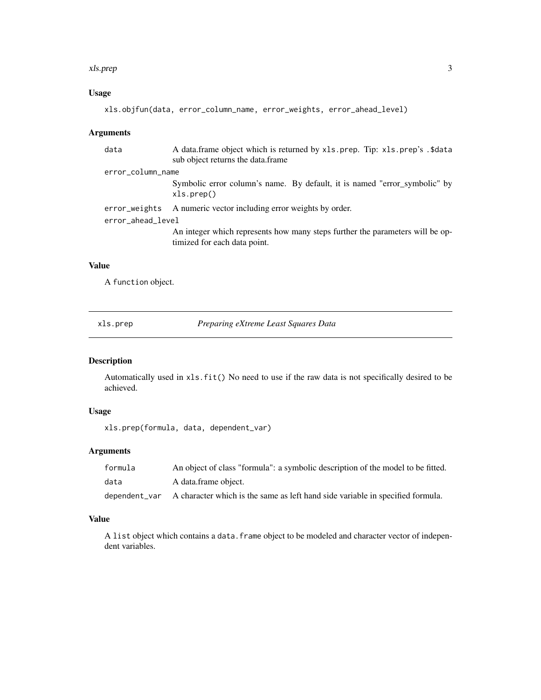#### <span id="page-2-0"></span>xls.prep 3

#### Usage

```
xls.objfun(data, error_column_name, error_weights, error_ahead_level)
```
#### Arguments

| data              | A data.frame object which is returned by xls.prep. Tip: xls.prep's .\$data<br>sub object returns the data.frame |  |  |  |
|-------------------|-----------------------------------------------------------------------------------------------------------------|--|--|--|
| error_column_name |                                                                                                                 |  |  |  |
|                   | Symbolic error column's name. By default, it is named "error_symbolic" by<br>xls.prep()                         |  |  |  |
| error_weights     | A numeric vector including error weights by order.                                                              |  |  |  |
| error_ahead_level |                                                                                                                 |  |  |  |
|                   | An integer which represents how many steps further the parameters will be op-<br>timized for each data point.   |  |  |  |

#### Value

A function object.

xls.prep *Preparing eXtreme Least Squares Data*

#### Description

Automatically used in xls.fit() No need to use if the raw data is not specifically desired to be achieved.

#### Usage

xls.prep(formula, data, dependent\_var)

#### Arguments

| formula       | An object of class "formula": a symbolic description of the model to be fitted. |
|---------------|---------------------------------------------------------------------------------|
| data          | A data.frame object.                                                            |
| dependent_var | A character which is the same as left hand side variable in specified formula.  |

#### Value

A list object which contains a data. frame object to be modeled and character vector of independent variables.